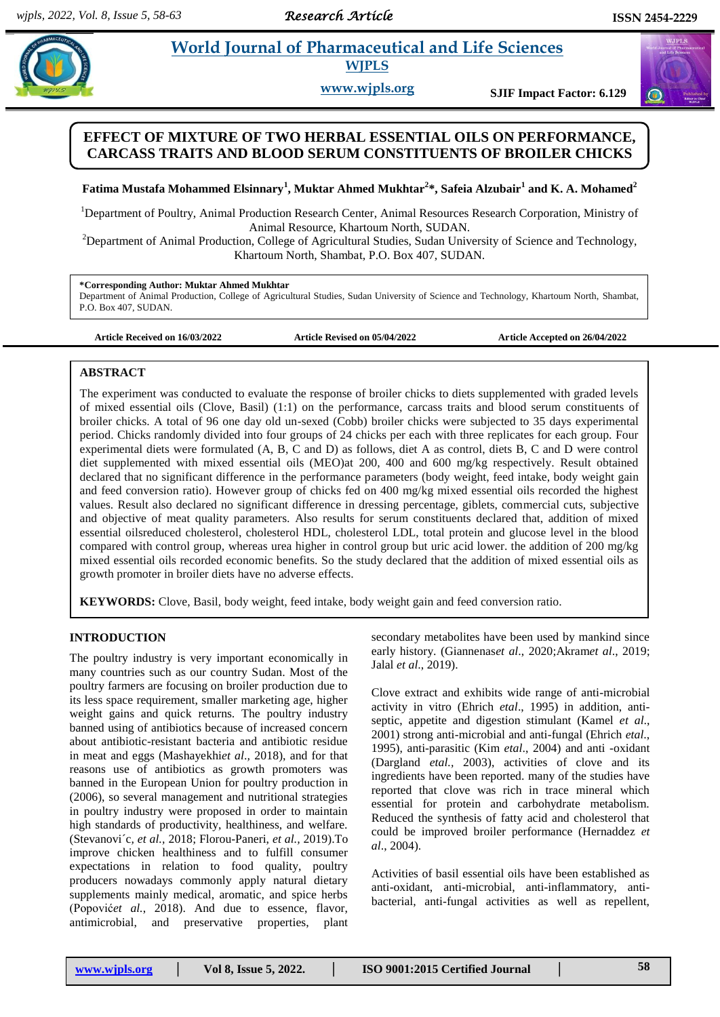# **Pathtar** *al. Box 10 Morld Journal of Pharmaceutical and Life Sciences and Pharmaceutical and Life Sciences* **WJPLS**

**www.wjpls.org SJIF Impact Factor: 6.129**

# **EFFECT OF MIXTURE OF TWO HERBAL ESSENTIAL OILS ON PERFORMANCE, CARCASS TRAITS AND BLOOD SERUM CONSTITUENTS OF BROILER CHICKS**

**Fatima Mustafa Mohammed Elsinnary<sup>1</sup> , Muktar Ahmed Mukhtar<sup>2</sup> \*, Safeia Alzubair<sup>1</sup> and K. A. Mohamed<sup>2</sup>**

<sup>1</sup>Department of Poultry, Animal Production Research Center, Animal Resources Research Corporation, Ministry of Animal Resource, Khartoum North, SUDAN.

<sup>2</sup>Department of Animal Production, College of Agricultural Studies, Sudan University of Science and Technology, Khartoum North, Shambat, P.O. Box 407, SUDAN.

#### **\*Corresponding Author: Muktar Ahmed Mukhtar**

Department of Animal Production, College of Agricultural Studies, Sudan University of Science and Technology, Khartoum North, Shambat, P.O. Box 407, SUDAN.

**Article Received on 16/03/2022 Article Revised on 05/04/2022 Article Accepted on 26/04/2022**

## **ABSTRACT**

The experiment was conducted to evaluate the response of broiler chicks to diets supplemented with graded levels of mixed essential oils (Clove, Basil) (1:1) on the performance, carcass traits and blood serum constituents of broiler chicks. A total of 96 one day old un-sexed (Cobb) broiler chicks were subjected to 35 days experimental period. Chicks randomly divided into four groups of 24 chicks per each with three replicates for each group. Four experimental diets were formulated (A, B, C and D) as follows, diet A as control, diets B, C and D were control diet supplemented with mixed essential oils (MEO)at 200, 400 and 600 mg/kg respectively. Result obtained declared that no significant difference in the performance parameters (body weight, feed intake, body weight gain and feed conversion ratio). However group of chicks fed on 400 mg/kg mixed essential oils recorded the highest values. Result also declared no significant difference in dressing percentage, giblets, commercial cuts, subjective and objective of meat quality parameters. Also results for serum constituents declared that, addition of mixed essential oilsreduced cholesterol, cholesterol HDL, cholesterol LDL, total protein and glucose level in the blood compared with control group, whereas urea higher in control group but uric acid lower. the addition of 200 mg/kg mixed essential oils recorded economic benefits. So the study declared that the addition of mixed essential oils as growth promoter in broiler diets have no adverse effects.

**KEYWORDS:** Clove, Basil, body weight, feed intake, body weight gain and feed conversion ratio.

## **INTRODUCTION**

The poultry industry is very important economically in many countries such as our country Sudan. Most of the poultry farmers are focusing on broiler production due to its less space requirement, smaller marketing age, higher weight gains and quick returns. The poultry industry banned using of antibiotics because of increased concern about antibiotic-resistant bacteria and antibiotic residue in meat and eggs (Mashayekhi*et al*.*,* 2018), and for that reasons use of antibiotics as growth promoters was banned in the European Union for poultry production in (2006), so several management and nutritional strategies in poultry industry were proposed in order to maintain high standards of productivity, healthiness, and welfare. (Stevanovi´c*, et al.,* 2018; Florou-Paneri, *et al.,* 2019).To improve chicken healthiness and to fulfill consumer expectations in relation to food quality, poultry producers nowadays commonly apply natural dietary supplements mainly medical, aromatic, and spice herbs (Popović*et al.*, 2018). And due to essence, flavor, antimicrobial, and preservative properties, plant

secondary metabolites have been used by mankind since early history. (Giannenas*et al*., 2020;Akram*et al*., 2019; Jalal *et al*., 2019).

Clove extract and exhibits wide range of anti-microbial activity in vitro (Ehrich *etal*., 1995) in addition, antiseptic, appetite and digestion stimulant (Kamel *et al*., 2001) strong anti-microbial and anti-fungal (Ehrich *etal*., 1995), anti-parasitic (Kim *etal*., 2004) and anti -oxidant (Dargland *etal.,* 2003), activities of clove and its ingredients have been reported. many of the studies have reported that clove was rich in trace mineral which essential for protein and carbohydrate metabolism. Reduced the synthesis of fatty acid and cholesterol that could be improved broiler performance (Hernaddez *et al*., 2004).

Activities of basil essential oils have been established as anti-oxidant, anti-microbial, anti-inflammatory, antibacterial, anti-fungal activities as well as repellent,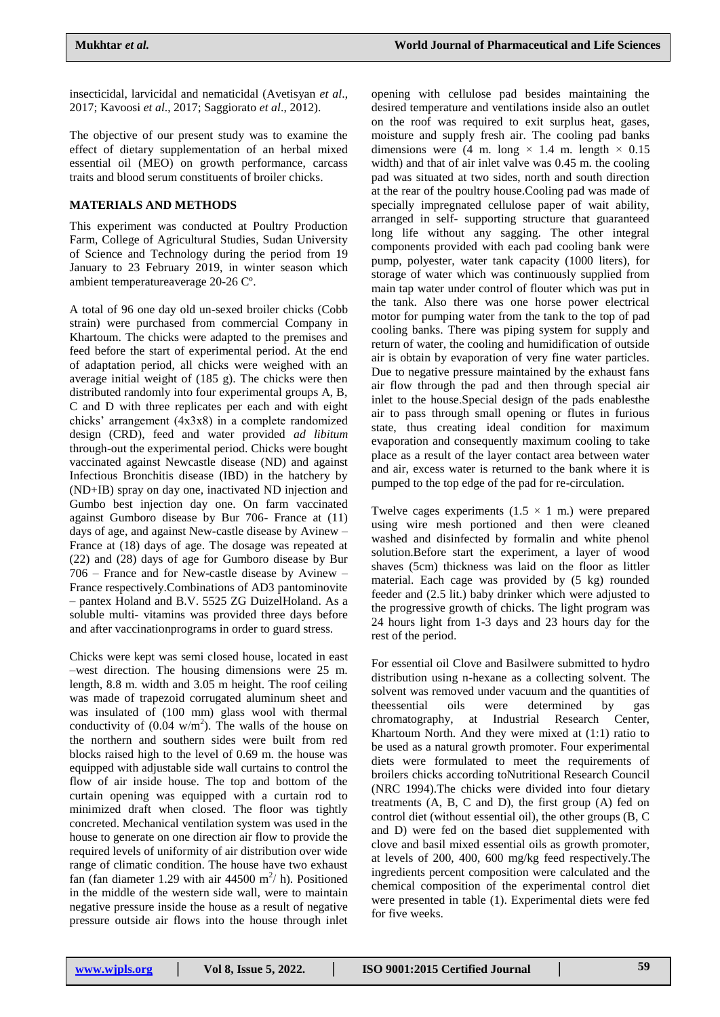insecticidal, larvicidal and nematicidal (Avetisyan *et al*., 2017; Kavoosi *et al*., 2017; Saggiorato *et al*., 2012).

The objective of our present study was to examine the effect of dietary supplementation of an herbal mixed essential oil (MEO) on growth performance, carcass traits and blood serum constituents of broiler chicks.

## **MATERIALS AND METHODS**

This experiment was conducted at Poultry Production Farm, College of Agricultural Studies, Sudan University of Science and Technology during the period from 19 January to 23 February 2019, in winter season which ambient temperatureaverage 20-26 Cº.

A total of 96 one day old un-sexed broiler chicks (Cobb strain) were purchased from commercial Company in Khartoum. The chicks were adapted to the premises and feed before the start of experimental period. At the end of adaptation period, all chicks were weighed with an average initial weight of (185 g). The chicks were then distributed randomly into four experimental groups A, B, C and D with three replicates per each and with eight chicks' arrangement (4x3x8) in a complete randomized design (CRD), feed and water provided *ad libitum* through-out the experimental period. Chicks were bought vaccinated against Newcastle disease (ND) and against Infectious Bronchitis disease (IBD) in the hatchery by (ND+IB) spray on day one, inactivated ND injection and Gumbo best injection day one. On farm vaccinated against Gumboro disease by Bur 706- France at (11) days of age, and against New-castle disease by Avinew – France at (18) days of age. The dosage was repeated at (22) and (28) days of age for Gumboro disease by Bur 706 – France and for New-castle disease by Avinew – France respectively.Combinations of AD3 pantominovite – pantex Holand and B.V. 5525 ZG DuizelHoland. As a soluble multi- vitamins was provided three days before and after vaccinationprograms in order to guard stress.

Chicks were kept was semi closed house, located in east –west direction. The housing dimensions were 25 m. length, 8.8 m. width and 3.05 m height. The roof ceiling was made of trapezoid corrugated aluminum sheet and was insulated of (100 mm) glass wool with thermal conductivity of  $(0.04 \text{ w/m}^2)$ . The walls of the house on the northern and southern sides were built from red blocks raised high to the level of 0.69 m. the house was equipped with adjustable side wall curtains to control the flow of air inside house. The top and bottom of the curtain opening was equipped with a curtain rod to minimized draft when closed. The floor was tightly concreted. Mechanical ventilation system was used in the house to generate on one direction air flow to provide the required levels of uniformity of air distribution over wide range of climatic condition. The house have two exhaust fan (fan diameter 1.29 with air 44500 m<sup>2</sup>/ h). Positioned in the middle of the western side wall, were to maintain negative pressure inside the house as a result of negative pressure outside air flows into the house through inlet

opening with cellulose pad besides maintaining the desired temperature and ventilations inside also an outlet on the roof was required to exit surplus heat, gases, moisture and supply fresh air. The cooling pad banks dimensions were (4 m. long  $\times$  1.4 m. length  $\times$  0.15 width) and that of air inlet valve was 0.45 m. the cooling pad was situated at two sides, north and south direction at the rear of the poultry house.Cooling pad was made of specially impregnated cellulose paper of wait ability, arranged in self- supporting structure that guaranteed long life without any sagging. The other integral components provided with each pad cooling bank were pump, polyester, water tank capacity (1000 liters), for storage of water which was continuously supplied from main tap water under control of flouter which was put in the tank. Also there was one horse power electrical motor for pumping water from the tank to the top of pad cooling banks. There was piping system for supply and return of water, the cooling and humidification of outside air is obtain by evaporation of very fine water particles. Due to negative pressure maintained by the exhaust fans air flow through the pad and then through special air inlet to the house.Special design of the pads enablesthe air to pass through small opening or flutes in furious state, thus creating ideal condition for maximum evaporation and consequently maximum cooling to take place as a result of the layer contact area between water and air, excess water is returned to the bank where it is pumped to the top edge of the pad for re-circulation.

Twelve cages experiments  $(1.5 \times 1$  m.) were prepared using wire mesh portioned and then were cleaned washed and disinfected by formalin and white phenol solution.Before start the experiment, a layer of wood shaves (5cm) thickness was laid on the floor as littler material. Each cage was provided by (5 kg) rounded feeder and (2.5 lit.) baby drinker which were adjusted to the progressive growth of chicks. The light program was 24 hours light from 1-3 days and 23 hours day for the rest of the period.

For essential oil Clove and Basilwere submitted to hydro distribution using n-hexane as a collecting solvent. The solvent was removed under vacuum and the quantities of theessential oils were determined by gas chromatography, at Industrial Research Center, Khartoum North. And they were mixed at (1:1) ratio to be used as a natural growth promoter. Four experimental diets were formulated to meet the requirements of broilers chicks according toNutritional Research Council (NRC 1994).The chicks were divided into four dietary treatments (A, B, C and D), the first group (A) fed on control diet (without essential oil), the other groups (B, C and D) were fed on the based diet supplemented with clove and basil mixed essential oils as growth promoter, at levels of 200, 400, 600 mg/kg feed respectively.The ingredients percent composition were calculated and the chemical composition of the experimental control diet were presented in table (1). Experimental diets were fed for five weeks.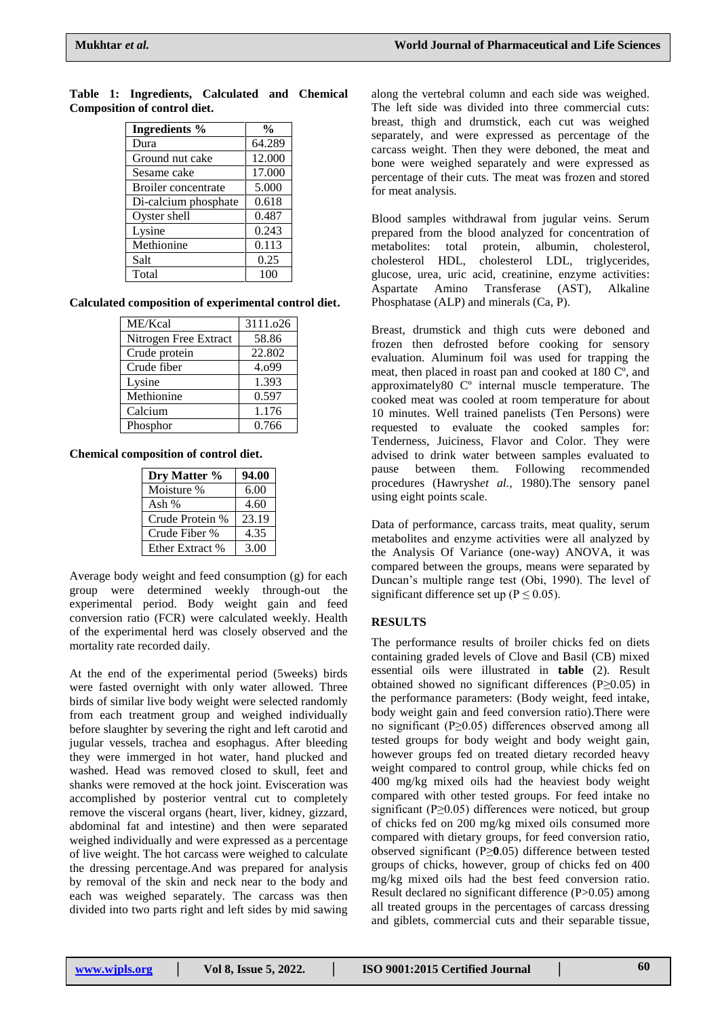| <b>Ingredients %</b>       | $\frac{0}{0}$ |
|----------------------------|---------------|
| Dura                       | 64.289        |
| Ground nut cake            | 12.000        |
| Sesame cake                | 17.000        |
| <b>Broiler</b> concentrate | 5.000         |
| Di-calcium phosphate       | 0.618         |
| Oyster shell               | 0.487         |
| Lysine                     | 0.243         |
| Methionine                 | 0.113         |
| Salt                       | 0.25          |
| Total                      | 100           |

## **Table 1: Ingredients, Calculated and Chemical Composition of control diet.**

#### **Calculated composition of experimental control diet.**

| ME/Kcal               | 3111.026 |
|-----------------------|----------|
| Nitrogen Free Extract | 58.86    |
| Crude protein         | 22.802   |
| Crude fiber           | 4.099    |
| Lysine                | 1.393    |
| Methionine            | 0.597    |
| Calcium               | 1.176    |
| Phosphor              | 0.766    |

## **Chemical composition of control diet.**

| Dry Matter %    | 94.00 |
|-----------------|-------|
| Moisture %      | 6.00  |
| Ash %           | 4.60  |
| Crude Protein % | 23.19 |
| Crude Fiber %   | 4.35  |
| Ether Extract % | 3.00  |

Average body weight and feed consumption (g) for each group were determined weekly through-out the experimental period. Body weight gain and feed conversion ratio (FCR) were calculated weekly. Health of the experimental herd was closely observed and the mortality rate recorded daily.

At the end of the experimental period (5weeks) birds were fasted overnight with only water allowed. Three birds of similar live body weight were selected randomly from each treatment group and weighed individually before slaughter by severing the right and left carotid and jugular vessels, trachea and esophagus. After bleeding they were immerged in hot water, hand plucked and washed. Head was removed closed to skull, feet and shanks were removed at the hock joint. Evisceration was accomplished by posterior ventral cut to completely remove the visceral organs (heart, liver, kidney, gizzard, abdominal fat and intestine) and then were separated weighed individually and were expressed as a percentage of live weight. The hot carcass were weighed to calculate the dressing percentage.And was prepared for analysis by removal of the skin and neck near to the body and each was weighed separately. The carcass was then divided into two parts right and left sides by mid sawing

along the vertebral column and each side was weighed. The left side was divided into three commercial cuts: breast, thigh and drumstick, each cut was weighed separately, and were expressed as percentage of the carcass weight. Then they were deboned, the meat and bone were weighed separately and were expressed as percentage of their cuts. The meat was frozen and stored for meat analysis.

Blood samples withdrawal from jugular veins. Serum prepared from the blood analyzed for concentration of metabolites: total protein, albumin, cholesterol, cholesterol HDL, cholesterol LDL, triglycerides, glucose, urea, uric acid, creatinine, enzyme activities: Aspartate Amino Transferase (AST), Alkaline Phosphatase (ALP) and minerals (Ca, P).

Breast, drumstick and thigh cuts were deboned and frozen then defrosted before cooking for sensory evaluation. Aluminum foil was used for trapping the meat, then placed in roast pan and cooked at 180 Cº, and approximately80 Cº internal muscle temperature. The cooked meat was cooled at room temperature for about 10 minutes. Well trained panelists (Ten Persons) were requested to evaluate the cooked samples for: Tenderness, Juiciness, Flavor and Color. They were advised to drink water between samples evaluated to pause between them. Following recommended procedures (Hawrysh*et al.,* 1980).The sensory panel using eight points scale.

Data of performance, carcass traits, meat quality, serum metabolites and enzyme activities were all analyzed by the Analysis Of Variance (one-way) ANOVA, it was compared between the groups, means were separated by Duncan's multiple range test (Obi, 1990). The level of significant difference set up ( $P \le 0.05$ ).

## **RESULTS**

The performance results of broiler chicks fed on diets containing graded levels of Clove and Basil (CB) mixed essential oils were illustrated in **table** (2). Result obtained showed no significant differences (P≥0.05) in the performance parameters: (Body weight, feed intake, body weight gain and feed conversion ratio).There were no significant (P≥0.05) differences observed among all tested groups for body weight and body weight gain, however groups fed on treated dietary recorded heavy weight compared to control group, while chicks fed on 400 mg/kg mixed oils had the heaviest body weight compared with other tested groups. For feed intake no significant (P $\geq$ 0.05) differences were noticed, but group of chicks fed on 200 mg/kg mixed oils consumed more compared with dietary groups, for feed conversion ratio, observed significant (P≥**0**.05) difference between tested groups of chicks, however, group of chicks fed on 400 mg/kg mixed oils had the best feed conversion ratio. Result declared no significant difference (P>0.05) among all treated groups in the percentages of carcass dressing and giblets, commercial cuts and their separable tissue,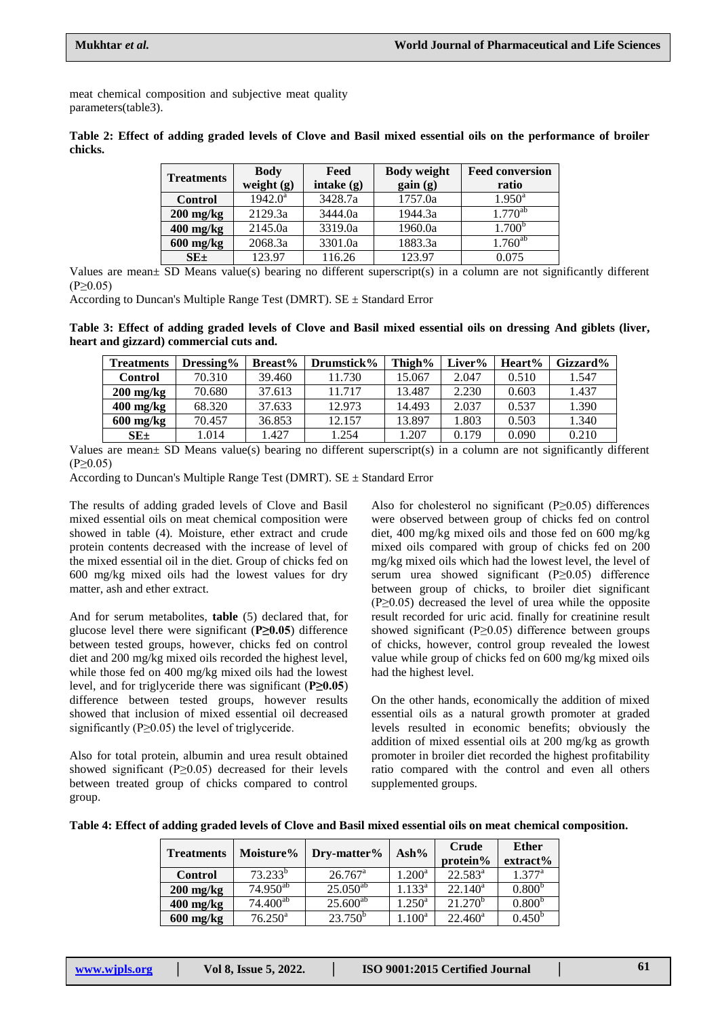meat chemical composition and subjective meat quality parameters(table3).

**Table 2: Effect of adding graded levels of Clove and Basil mixed essential oils on the performance of broiler chicks.**

| <b>Body</b> | Feed                                                                  | <b>Body weight</b>                                                 | <b>Feed conversion</b><br>ratio                               |
|-------------|-----------------------------------------------------------------------|--------------------------------------------------------------------|---------------------------------------------------------------|
|             |                                                                       |                                                                    | $1.950^{\rm a}$                                               |
|             |                                                                       |                                                                    | $1.770^{ab}$                                                  |
|             |                                                                       |                                                                    | 1.700 <sup>b</sup>                                            |
|             |                                                                       |                                                                    | $1.760^{ab}$                                                  |
|             |                                                                       |                                                                    | 0.075                                                         |
|             | weight $(g)$<br>$1942.0^a$<br>2129.3a<br>2145.0a<br>2068.3a<br>123.97 | intake $(g)$<br>3428.7a<br>3444.0a<br>3319.0a<br>3301.0a<br>116.26 | gain(g)<br>1757.0a<br>1944.3a<br>1960.0a<br>1883.3a<br>123.97 |

Values are mean± SD Means value(s) bearing no different superscript(s) in a column are not significantly different  $(P>0.05)$ 

According to Duncan's Multiple Range Test (DMRT).  $SE \pm Standard Error$ 

**Table 3: Effect of adding graded levels of Clove and Basil mixed essential oils on dressing And giblets (liver, heart and gizzard) commercial cuts and.**

| <b>Treatments</b>   | Dressing $%$ | <b>Breast%</b> | Drumstick% | Thigh% | Liver% | Heart% | Gizzard% |
|---------------------|--------------|----------------|------------|--------|--------|--------|----------|
| Control             | 70.310       | 39.460         | .730       | 15.067 | 2.047  | 0.510  | 1.547    |
| $200 \text{ mg/kg}$ | 70.680       | 37.613         | 11.717     | 13.487 | 2.230  | 0.603  | 1.437    |
| $400$ mg/kg         | 68.320       | 37.633         | 12.973     | 14.493 | 2.037  | 0.537  | 1.390    |
| $600$ mg/kg         | 70.457       | 36.853         | 12.157     | 13.897 | 1.803  | 0.503  | 1.340    |
| $SE_{\pm}$          | .014         | .427           | 1.254      | .207   | 0.179  | 0.090  | 0.210    |

Values are mean± SD Means value(s) bearing no different superscript(s) in a column are not significantly different  $(P \ge 0.05)$ 

According to Duncan's Multiple Range Test (DMRT).  $SE \pm Standard Error$ 

The results of adding graded levels of Clove and Basil mixed essential oils on meat chemical composition were showed in table (4). Moisture, ether extract and crude protein contents decreased with the increase of level of the mixed essential oil in the diet. Group of chicks fed on 600 mg/kg mixed oils had the lowest values for dry matter, ash and ether extract.

And for serum metabolites, **table** (5) declared that, for glucose level there were significant (**P≥0.05**) difference between tested groups, however, chicks fed on control diet and 200 mg/kg mixed oils recorded the highest level, while those fed on 400 mg/kg mixed oils had the lowest level, and for triglyceride there was significant (**P≥0.05**) difference between tested groups, however results showed that inclusion of mixed essential oil decreased significantly ( $P \ge 0.05$ ) the level of triglyceride.

Also for total protein, albumin and urea result obtained showed significant ( $P \ge 0.05$ ) decreased for their levels between treated group of chicks compared to control group.

Also for cholesterol no significant ( $P \ge 0.05$ ) differences were observed between group of chicks fed on control diet, 400 mg/kg mixed oils and those fed on 600 mg/kg mixed oils compared with group of chicks fed on 200 mg/kg mixed oils which had the lowest level, the level of serum urea showed significant (P≥0.05) difference between group of chicks, to broiler diet significant  $(P \ge 0.05)$  decreased the level of urea while the opposite result recorded for uric acid. finally for creatinine result showed significant (P≥0.05) difference between groups of chicks, however, control group revealed the lowest value while group of chicks fed on 600 mg/kg mixed oils had the highest level.

On the other hands, economically the addition of mixed essential oils as a natural growth promoter at graded levels resulted in economic benefits; obviously the addition of mixed essential oils at 200 mg/kg as growth promoter in broiler diet recorded the highest profitability ratio compared with the control and even all others supplemented groups.

|  |  |  |  |  | Table 4: Effect of adding graded levels of Clove and Basil mixed essential oils on meat chemical composition. |
|--|--|--|--|--|---------------------------------------------------------------------------------------------------------------|
|--|--|--|--|--|---------------------------------------------------------------------------------------------------------------|

| <b>Treatments</b>   | Moisture%             | Dry-matter%      | $\mathbf{Ash\%}$ | Crude<br>protein% | <b>Ether</b><br>extract% |
|---------------------|-----------------------|------------------|------------------|-------------------|--------------------------|
| <b>Control</b>      | $73.233^{b}$          | $26.767^{\circ}$ | $1.200^a$        | $22.583^a$        | $1.377^{\rm a}$          |
| $200$ mg/kg         | $74.950^{ab}$         | $25.050^{ab}$    | $1.133^{a}$      | $22.140^a$        | 0.800 <sup>b</sup>       |
| $400$ mg/kg         | $74.400^{ab}$         | $25.600^{ab}$    | $1.250^{\rm a}$  | $21.270^b$        | 0.800 <sup>b</sup>       |
| $600 \text{ mg/kg}$ | $76.250$ <sup>a</sup> | $23.750^b$       | $1.100^{\rm a}$  | $22.460^a$        | 0.450 <sup>b</sup>       |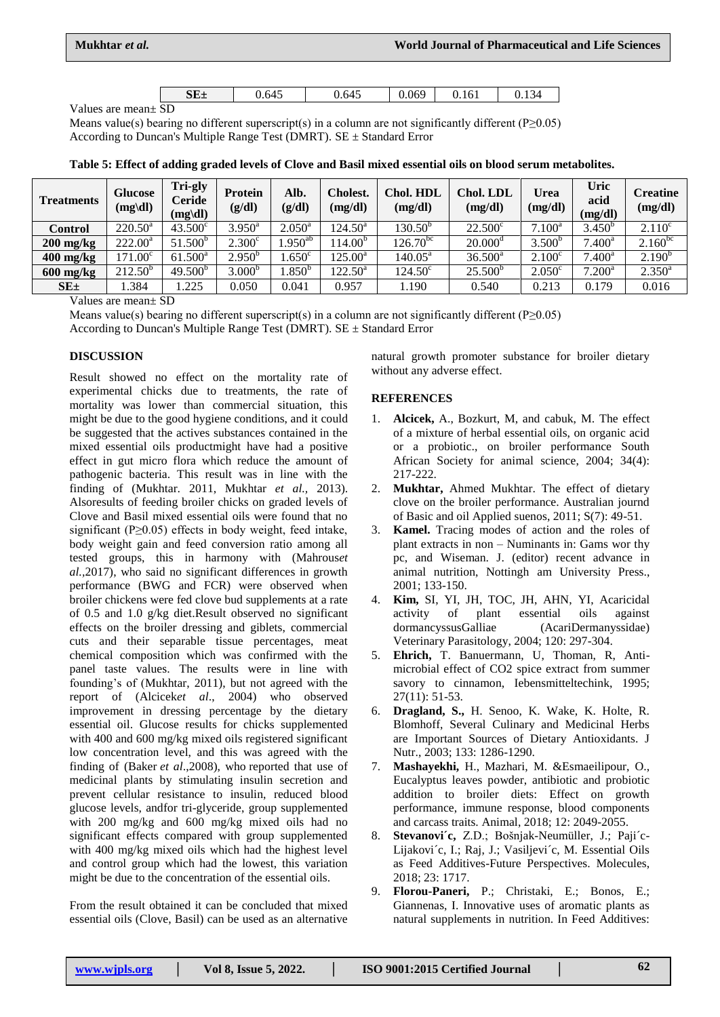| $SE\pm$<br>J.645 | J.645 | .069 | 0.161 | ৲∠<br> |
|------------------|-------|------|-------|--------|
|------------------|-------|------|-------|--------|

Values are mean± SD

Means value(s) bearing no different superscript(s) in a column are not significantly different ( $P \ge 0.05$ ) According to Duncan's Multiple Range Test (DMRT).  $SE \pm Standard Error$ 

| <b>Treatments</b>   | <b>Glucose</b><br>$(mg\ddot{\text{dl}})$ | Tri-gly<br>Ceride<br>$(mg\ddot{dl})$ | <b>Protein</b><br>(g/dl) | Alb.<br>(g/dl)    | <b>Cholest.</b><br>(mg/dl) | Chol. HDL<br>(mg/dl) | <b>Chol. LDL</b><br>(mg/dl) | Urea<br>(mg/dl) | Uric<br>acid<br>(mg/dl) | Creatine<br>(mg/dl) |
|---------------------|------------------------------------------|--------------------------------------|--------------------------|-------------------|----------------------------|----------------------|-----------------------------|-----------------|-------------------------|---------------------|
| Control             | $220.50^a$                               | $43.500^{\circ}$                     | $3.950^{\rm a}$          | $2.050^{\rm a}$   | $124.50^{\rm a}$           | $130.50^{\circ}$     | $22.500^{\circ}$            | $7.100^a$       | $3.450^{b}$             | $2.110^c$           |
| $200 \text{ mg/kg}$ | $222.00^a$                               | $51.500^{\circ}$                     | 2.300 <sup>c</sup>       | $.950^{ab}$       | $14.00^{\circ}$            | $126.70^{bc}$        | $20.000^{\circ}$            | $3.500^{b}$     | $7.400^a$               | $2.160^{bc}$        |
| $400$ mg/kg         | $171.00^{\circ}$                         | $61.500^{\rm a}$                     | $2.950^{b}$              | .650 <sup>c</sup> | $125.00^{\rm a}$           | $140.05^{\text{a}}$  | $36.500^{\rm a}$            | $2.100^{\circ}$ | $7.400^a$               | $2.190^{b}$         |
| $600 \text{ mg/kg}$ | $212.50^{b}$                             | $49.500^{b}$                         | 3.000 <sup>b</sup>       | .850 <sup>b</sup> | $122.50^{\rm a}$           | $124.50^{\circ}$     | 25.500 <sup>b</sup>         | $2.050^{\circ}$ | $7.200^a$               | $2.350^{\rm a}$     |
| $SE_{\pm}$          | .384                                     | .225                                 | 0.050                    | 0.041             | 0.957                      | 1.190                | 0.540                       | 0.213           | 0.179                   | 0.016               |

**Table 5: Effect of adding graded levels of Clove and Basil mixed essential oils on blood serum metabolites.**

Values are mean± SD

Means value(s) bearing no different superscript(s) in a column are not significantly different (P $\geq$ 0.05) According to Duncan's Multiple Range Test (DMRT).  $SE \pm Standard Error$ 

## **DISCUSSION**

Result showed no effect on the mortality rate of experimental chicks due to treatments, the rate of mortality was lower than commercial situation, this might be due to the good hygiene conditions, and it could be suggested that the actives substances contained in the mixed essential oils productmight have had a positive effect in gut micro flora which reduce the amount of pathogenic bacteria. This result was in line with the finding of (Mukhtar. 2011, Mukhtar *et al.,* 2013). Alsoresults of feeding broiler chicks on graded levels of Clove and Basil mixed essential oils were found that no significant (P≥0.05) effects in body weight, feed intake, body weight gain and feed conversion ratio among all tested groups, this in harmony with (Mahrous*et al.,*2017), who said no significant differences in growth performance (BWG and FCR) were observed when broiler chickens were fed clove bud supplements at a rate of 0.5 and 1.0 g/kg diet.Result observed no significant effects on the broiler dressing and giblets, commercial cuts and their separable tissue percentages, meat chemical composition which was confirmed with the panel taste values. The results were in line with founding's of (Mukhtar, 2011), but not agreed with the report of (Alcicek*et al*., 2004) who observed improvement in dressing percentage by the dietary essential oil. Glucose results for chicks supplemented with 400 and 600 mg/kg mixed oils registered significant low concentration level, and this was agreed with the finding of (Baker *et al*[.,2008\),](https://www.european-poultry-science.com/Effect-of-supplementing-clove-essential-oil-to-the-diet-on-microflora-population-intestinal-morphology-blood-parameters-and-performance-of-broilers,QUlEPTQzOTAwMjYmTUlEPTE2MTAxNA.html#Baker_et_al__2008) who reported that use of medicinal plants by stimulating insulin secretion and prevent cellular resistance to insulin, reduced blood glucose levels, andfor tri-glyceride, group supplemented with 200 mg/kg and 600 mg/kg mixed oils had no significant effects compared with group supplemented with 400 mg/kg mixed oils which had the highest level and control group which had the lowest, this variation might be due to the concentration of the essential oils.

From the result obtained it can be concluded that mixed essential oils (Clove, Basil) can be used as an alternative

natural growth promoter substance for broiler dietary without any adverse effect.

## **REFERENCES**

- 1. **Alcicek,** A., Bozkurt, M, and cabuk, M. The effect of a mixture of herbal essential oils, on organic acid or a probiotic., on broiler performance South African Society for animal science, 2004; 34(4): 217-222.
- 2. **Mukhtar,** Ahmed Mukhtar. The effect of dietary clove on the broiler performance. Australian journd of Basic and oil Applied suenos, 2011; S(7): 49-51.
- 3. **Kamel.** Tracing modes of action and the roles of plant extracts in non – Numinants in: Gams wor thy pc, and Wiseman. J. (editor) recent advance in animal nutrition, Nottingh am University Press., 2001; 133-150.
- 4. **Kim,** SI, YI, JH, TOC, JH, AHN, YI, Acaricidal activity of plant essential oils against dormancyssusGalliae (AcariDermanyssidae) Veterinary Parasitology, 2004; 120: 297-304.
- 5. **Ehrich,** T. Banuermann, U, Thoman, R, Antimicrobial effect of CO2 spice extract from summer savory to cinnamon, Iebensmitteltechink, 1995; 27(11): 51-53.
- 6. **Dragland, S.,** H. Senoo, K. Wake, K. Holte, R. Blomhoff, Several Culinary and Medicinal Herbs are Important Sources of Dietary Antioxidants. J Nutr., 2003; 133: 1286-1290.
- 7. **Mashayekhi,** H., Mazhari, M. &Esmaeilipour, O., Eucalyptus leaves powder, antibiotic and probiotic addition to broiler diets: Effect on growth performance, immune response, blood components and carcass traits. Animal, 2018; 12: 2049-2055.
- 8. **Stevanovi´c,** Z.D.; Bošnjak-Neumüller, J.; Paji´c-Lijakovi´c, I.; Raj, J.; Vasiljevi´c, M. Essential Oils as Feed Additives-Future Perspectives. Molecules, 2018; 23: 1717.
- 9. **Florou-Paneri,** P.; Christaki, E.; Bonos, E.; Giannenas, I. Innovative uses of aromatic plants as natural supplements in nutrition. In Feed Additives: